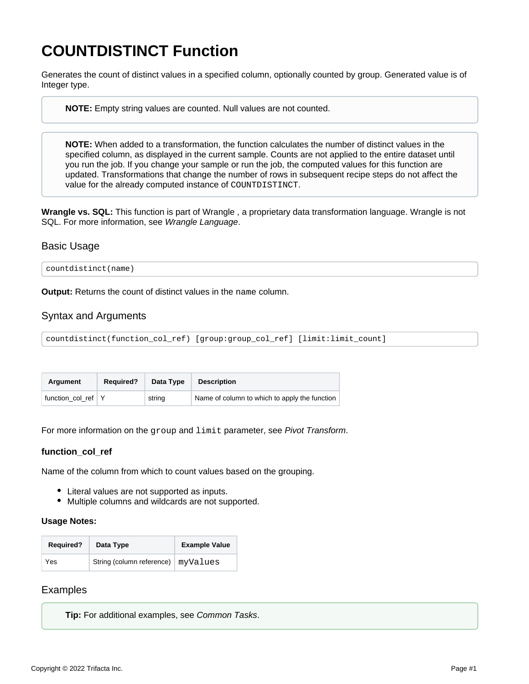# <span id="page-0-0"></span>**COUNTDISTINCT Function**

Generates the count of distinct values in a specified column, optionally counted by group. Generated value is of Integer type.

**NOTE:** Empty string values are counted. Null values are not counted.

**NOTE:** When added to a transformation, the function calculates the number of distinct values in the specified column, as displayed in the current sample. Counts are not applied to the entire dataset until you run the job. If you change your sample or run the job, the computed values for this function are updated. Transformations that change the number of rows in subsequent recipe steps do not affect the value for the already computed instance of COUNTDISTINCT.

**Wrangle vs. SQL:** This function is part of Wrangle , a proprietary data transformation language. Wrangle is not SQL. For more information, see [Wrangle Language](https://docs.trifacta.com/display/r087/Wrangle+Language).

# Basic Usage

countdistinct(name)

**Output:** Returns the count of distinct values in the name column.

# Syntax and Arguments

countdistinct(function\_col\_ref) [group:group\_col\_ref] [limit:limit\_count]

| Araument           | <b>Required?</b> | Data Type | <b>Description</b>                            |
|--------------------|------------------|-----------|-----------------------------------------------|
| function col ref Y |                  | string    | Name of column to which to apply the function |

For more information on the group and limit parameter, see [Pivot Transform](https://docs.trifacta.com/display/r087/Pivot+Transform).

#### **function\_col\_ref**

Name of the column from which to count values based on the grouping.

- Literal values are not supported as inputs.
- Multiple columns and wildcards are not supported.

#### **Usage Notes:**

| <b>Required?</b> | Data Type                 | <b>Example Value</b> |
|------------------|---------------------------|----------------------|
| Yes              | String (column reference) | myValues             |

# Examples

**Tip:** For additional examples, see [Common Tasks](https://docs.trifacta.com/display/r087/Common+Tasks).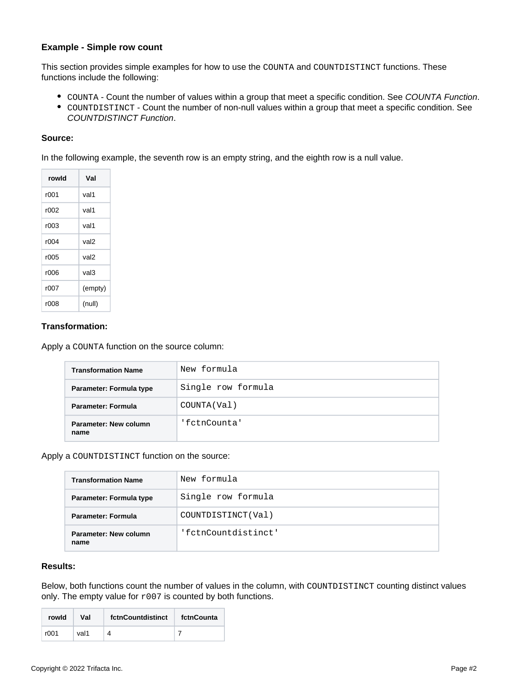### **Example - Simple row count**

This section provides simple examples for how to use the COUNTA and COUNTDISTINCT functions. These functions include the following:

- COUNTA Count the number of values within a group that meet a specific condition. See [COUNTA Function](https://docs.trifacta.com/display/r087/COUNTA+Function).
- COUNTDISTINCT Count the number of non-null values within a group that meet a specific condition. See [COUNTDISTINCT Function](#page-0-0).

### **Source:**

In the following example, the seventh row is an empty string, and the eighth row is a null value.

| rowld | Val     |
|-------|---------|
| r001  | val1    |
| r002  | val1    |
| r003  | val1    |
| r004  | val2    |
| r005  | val2    |
| r006  | val3    |
| r007  | (empty) |
| r008  | (null)  |

# **Transformation:**

Apply a COUNTA function on the source column:

| <b>Transformation Name</b>    | New formula        |
|-------------------------------|--------------------|
| Parameter: Formula type       | Single row formula |
| <b>Parameter: Formula</b>     | COUNTA(Val)        |
| Parameter: New column<br>name | 'fctnCounta'       |

Apply a COUNTDISTINCT function on the source:

| <b>Transformation Name</b>    | New formula         |
|-------------------------------|---------------------|
| Parameter: Formula type       | Single row formula  |
| Parameter: Formula            | COUNTDISTINCT(Val)  |
| Parameter: New column<br>name | 'fctnCountdistinct' |

## **Results:**

Below, both functions count the number of values in the column, with COUNTDISTINCT counting distinct values only. The empty value for  $r007$  is counted by both functions.

| rowld | Val  | fctnCountdistinct | fctnCounta |
|-------|------|-------------------|------------|
| r001  | val1 | 4                 |            |